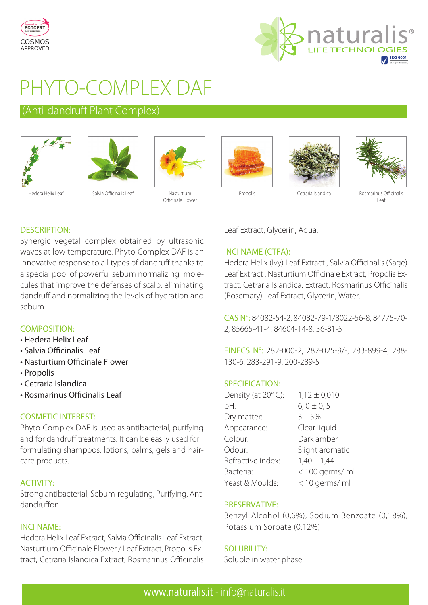



# PHYTO-COMPLEX DAF

# (Anti-dandruff Plant Complex)





Hedera Helix Leaf Salvia Officinalis Leaf Nasturtium



Officinale Flower







Propolis Cetraria Islandica Rosmarinus Officinalis Leaf

# DESCRIPTION:

Synergic vegetal complex obtained by ultrasonic waves at low temperature. Phyto-Complex DAF is an innovative response to all types of dandruff thanks to a special pool of powerful sebum normalizing molecules that improve the defenses of scalp, eliminating dandruff and normalizing the levels of hydration and sebum

# COMPOSITION:

- Hedera Helix Leaf
- Salvia Officinalis Leaf
- Nasturtium Officinale Flower
- Propolis
- Cetraria Islandica
- Rosmarinus Officinalis Leaf

# COSMETIC INTEREST:

Phyto-Complex DAF is used as antibacterial, purifying and for dandruff treatments. It can be easily used for formulating shampoos, lotions, balms, gels and haircare products.

# ACTIVITY:

Strong antibacterial, Sebum-regulating, Purifying, Anti dandruffon

# INCI NAME:

Hedera Helix Leaf Extract, Salvia Officinalis Leaf Extract, Nasturtium Officinale Flower / Leaf Extract, Propolis Extract, Cetraria Islandica Extract, Rosmarinus Officinalis Leaf Extract, Glycerin, Aqua.

# INCI NAME (CTFA):

Hedera Helix (Ivy) Leaf Extract , Salvia Officinalis (Sage) Leaf Extract , Nasturtium Officinale Extract, Propolis Extract, Cetraria Islandica, Extract, Rosmarinus Officinalis (Rosemary) Leaf Extract, Glycerin, Water.

CAS N°: 84082-54-2, 84082-79-1/8022-56-8, 84775-70- 2, 85665-41-4, 84604-14-8, 56-81-5

EINECS N°: 282-000-2, 282-025-9/-, 283-899-4, 288- 130-6, 283-291-9, 200-289-5

# SPECIFICATION:

| Density (at 20°C): | $1,12 \pm 0,010$ |
|--------------------|------------------|
| pH:                | $6, 0 \pm 0, 5$  |
| Dry matter:        | $3 - 5%$         |
| Appearance:        | Clear liquid     |
| Colour:            | Dark amber       |
| Odour:             | Slight aromatic  |
| Refractive index:  | $1,40 - 1,44$    |
| Bacteria:          | < 100 germs/ ml  |
| Yeast & Moulds:    | < 10 germs/ ml   |

#### PRESERVATIVE:

Benzyl Alcohol (0,6%), Sodium Benzoate (0,18%), Potassium Sorbate (0,12%)

#### SOLUBILITY:

Soluble in water phase